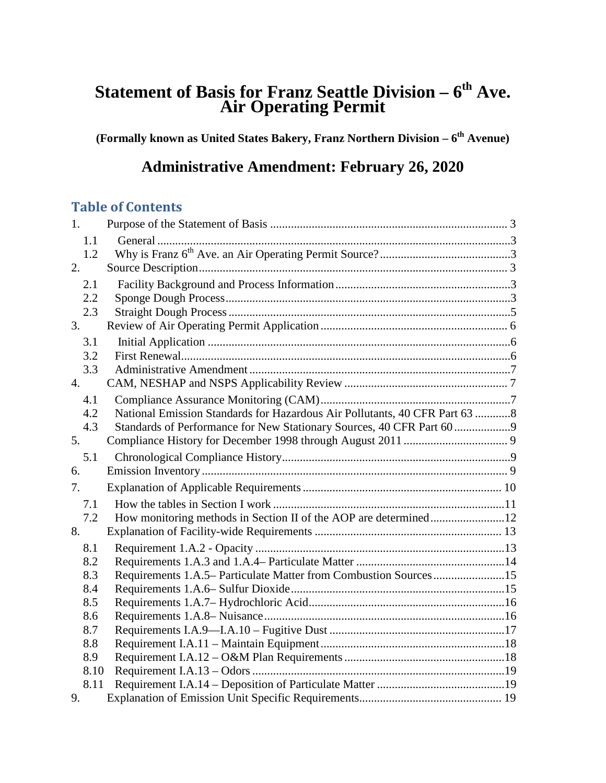# **Statement of Basis for Franz Seattle Division – 6th Ave. Air Operating Permit**

**(Formally known as United States Bakery, Franz Northern Division – 6th Avenue)**

# **Administrative Amendment: February 26, 2020**

## **Table of Contents**

| 1.   |                                                                             |  |
|------|-----------------------------------------------------------------------------|--|
| 1.1  |                                                                             |  |
| 1.2  |                                                                             |  |
| 2.   |                                                                             |  |
| 2.1  |                                                                             |  |
| 2.2  |                                                                             |  |
| 2.3  |                                                                             |  |
| 3.   |                                                                             |  |
| 3.1  |                                                                             |  |
| 3.2  |                                                                             |  |
| 3.3  |                                                                             |  |
| 4.   |                                                                             |  |
| 4.1  |                                                                             |  |
| 4.2  | National Emission Standards for Hazardous Air Pollutants, 40 CFR Part 63  8 |  |
| 4.3  | Standards of Performance for New Stationary Sources, 40 CFR Part 60         |  |
| 5.   |                                                                             |  |
| 5.1  |                                                                             |  |
| 6.   |                                                                             |  |
| 7.   |                                                                             |  |
| 7.1  |                                                                             |  |
| 7.2  |                                                                             |  |
| 8.   |                                                                             |  |
| 8.1  |                                                                             |  |
| 8.2  |                                                                             |  |
| 8.3  | Requirements 1.A.5– Particulate Matter from Combustion Sources15            |  |
| 8.4  |                                                                             |  |
| 8.5  |                                                                             |  |
| 8.6  |                                                                             |  |
| 8.7  |                                                                             |  |
| 8.8  |                                                                             |  |
| 8.9  |                                                                             |  |
| 8.10 |                                                                             |  |
| 8.11 |                                                                             |  |
| 9.   |                                                                             |  |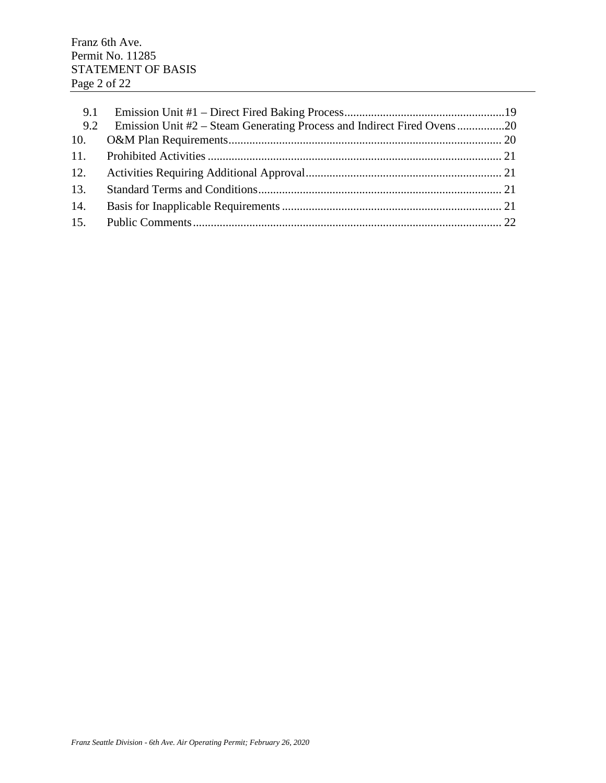| 9.1 |  |
|-----|--|
| 9.2 |  |
| 10. |  |
|     |  |
| 12. |  |
| 13. |  |
| 14. |  |
| 15. |  |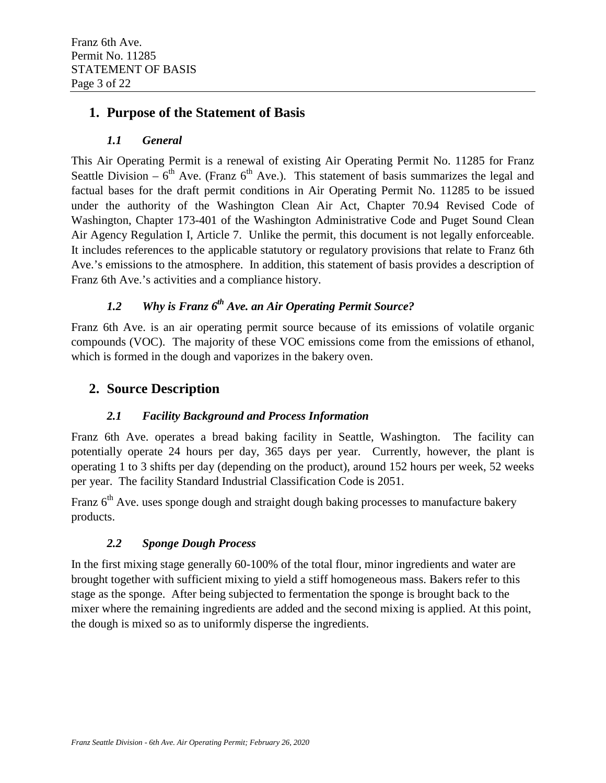## <span id="page-2-0"></span>**1. Purpose of the Statement of Basis**

### *1.1 General*

<span id="page-2-1"></span>This Air Operating Permit is a renewal of existing Air Operating Permit No. 11285 for Franz Seattle Division –  $6<sup>th</sup>$  Ave. (Franz  $6<sup>th</sup>$  Ave.). This statement of basis summarizes the legal and factual bases for the draft permit conditions in Air Operating Permit No. 11285 to be issued under the authority of the Washington Clean Air Act, Chapter 70.94 Revised Code of Washington, Chapter 173-401 of the Washington Administrative Code and Puget Sound Clean Air Agency Regulation I, Article 7. Unlike the permit, this document is not legally enforceable. It includes references to the applicable statutory or regulatory provisions that relate to Franz 6th Ave.'s emissions to the atmosphere. In addition, this statement of basis provides a description of Franz 6th Ave.'s activities and a compliance history.

## *1.2 Why is Franz 6th Ave. an Air Operating Permit Source?*

<span id="page-2-2"></span>Franz 6th Ave. is an air operating permit source because of its emissions of volatile organic compounds (VOC). The majority of these VOC emissions come from the emissions of ethanol, which is formed in the dough and vaporizes in the bakery oven.

## <span id="page-2-3"></span>**2. Source Description**

### *2.1 Facility Background and Process Information*

<span id="page-2-4"></span>Franz 6th Ave. operates a bread baking facility in Seattle, Washington. The facility can potentially operate 24 hours per day, 365 days per year. Currently, however, the plant is operating 1 to 3 shifts per day (depending on the product), around 152 hours per week, 52 weeks per year. The facility Standard Industrial Classification Code is 2051.

Franz  $6<sup>th</sup>$  Ave. uses sponge dough and straight dough baking processes to manufacture bakery products.

### *2.2 Sponge Dough Process*

<span id="page-2-5"></span>In the first mixing stage generally 60-100% of the total flour, minor ingredients and water are brought together with sufficient mixing to yield a stiff homogeneous mass. Bakers refer to this stage as the sponge. After being subjected to fermentation the sponge is brought back to the mixer where the remaining ingredients are added and the second mixing is applied. At this point, the dough is mixed so as to uniformly disperse the ingredients.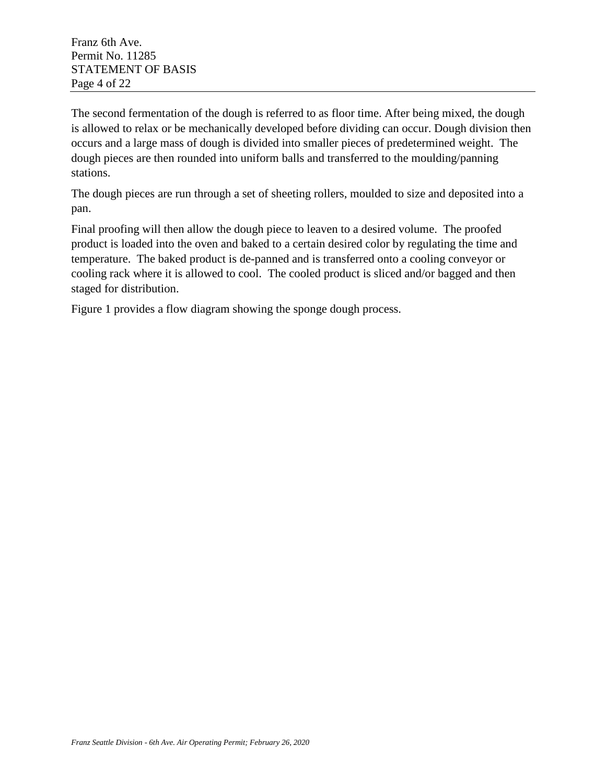The second fermentation of the dough is referred to as floor time. After being mixed, the dough is allowed to relax or be mechanically developed before dividing can occur. Dough division then occurs and a large mass of dough is divided into smaller pieces of predetermined weight. The dough pieces are then rounded into uniform balls and transferred to the moulding/panning stations.

The dough pieces are run through a set of sheeting rollers, moulded to size and deposited into a pan.

Final proofing will then allow the dough piece to leaven to a desired volume. The proofed product is loaded into the oven and baked to a certain desired color by regulating the time and temperature. The baked product is de-panned and is transferred onto a cooling conveyor or cooling rack where it is allowed to cool. The cooled product is sliced and/or bagged and then staged for distribution.

Figure 1 provides a flow diagram showing the sponge dough process.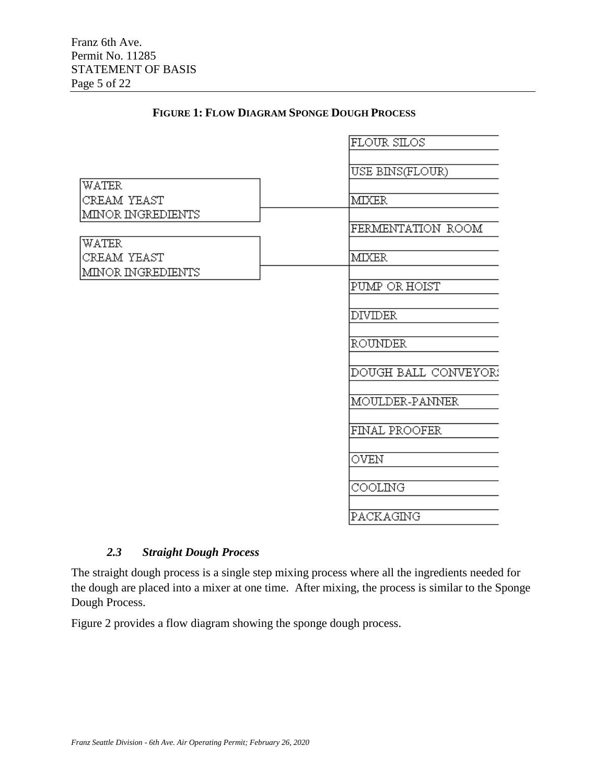|                      | FLOUR SILOS          |
|----------------------|----------------------|
|                      | USE BINS(FLOUR)      |
| WATER<br>CREAM YEAST | MIXER                |
| MINOR INGREDIENTS    |                      |
|                      | FERMENTATION ROOM    |
| WATER<br>CREAM YEAST | <b>MIXER</b>         |
| MINOR INGREDIENTS    | PUMP OR HOIST        |
|                      | <b>DIVIDER</b>       |
|                      | <b>ROUNDER</b>       |
|                      | DOUGH BALL CONVEYOR: |
|                      | MOULDER-PANNER       |
|                      | FINAL PROOFER        |
|                      | OVEN                 |
|                      | COOLING              |
|                      | PACKAGING            |

#### **FIGURE 1: FLOW DIAGRAM SPONGE DOUGH PROCESS**

#### *2.3 Straight Dough Process*

<span id="page-4-0"></span>The straight dough process is a single step mixing process where all the ingredients needed for the dough are placed into a mixer at one time. After mixing, the process is similar to the Sponge Dough Process.

Figure 2 provides a flow diagram showing the sponge dough process.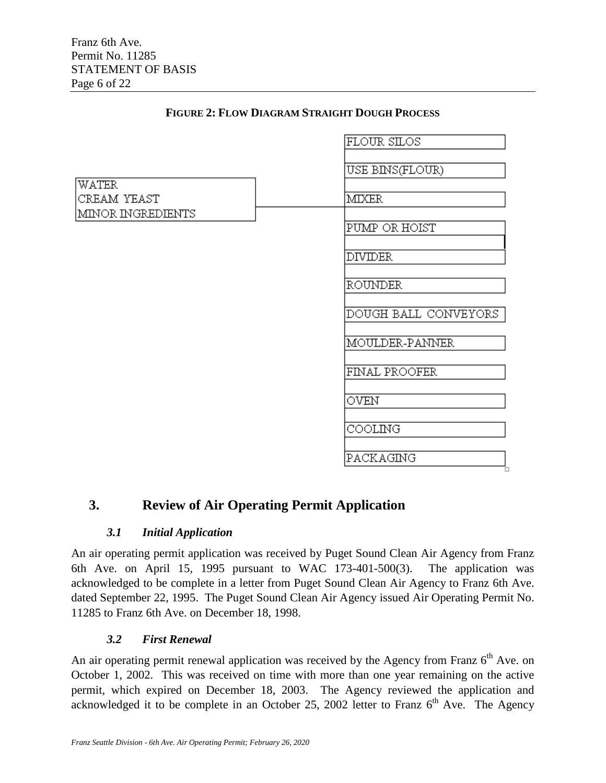|                   | FLOUR SILOS          |
|-------------------|----------------------|
|                   |                      |
|                   | USE BINS(FLOUR)      |
|                   |                      |
| <b>WATER</b>      |                      |
| CREAM YEAST       | <b>MIXER</b>         |
| MINOR INGREDIENTS |                      |
|                   | PUMP OR HOIST        |
|                   |                      |
|                   |                      |
|                   | <b>DIVIDER</b>       |
|                   |                      |
|                   | <b>ROUNDER</b>       |
|                   |                      |
|                   |                      |
|                   | DOUGH BALL CONVEYORS |
|                   |                      |
|                   | MOULDER-PANNER       |
|                   |                      |
|                   |                      |
|                   | FINAL PROOFER        |
|                   |                      |
|                   | OVEN                 |
|                   |                      |
|                   | COOLING              |
|                   |                      |
|                   |                      |
|                   | PACKAGING            |
|                   |                      |

#### **FIGURE 2: FLOW DIAGRAM STRAIGHT DOUGH PROCESS**

## <span id="page-5-1"></span><span id="page-5-0"></span>**3. Review of Air Operating Permit Application**

#### *3.1 Initial Application*

An air operating permit application was received by Puget Sound Clean Air Agency from Franz 6th Ave. on April 15, 1995 pursuant to WAC 173-401-500(3). The application was acknowledged to be complete in a letter from Puget Sound Clean Air Agency to Franz 6th Ave. dated September 22, 1995. The Puget Sound Clean Air Agency issued Air Operating Permit No. 11285 to Franz 6th Ave. on December 18, 1998.

#### *3.2 First Renewal*

<span id="page-5-2"></span>An air operating permit renewal application was received by the Agency from Franz 6<sup>th</sup> Ave. on October 1, 2002. This was received on time with more than one year remaining on the active permit, which expired on December 18, 2003. The Agency reviewed the application and acknowledged it to be complete in an October 25, 2002 letter to Franz  $6<sup>th</sup>$  Ave. The Agency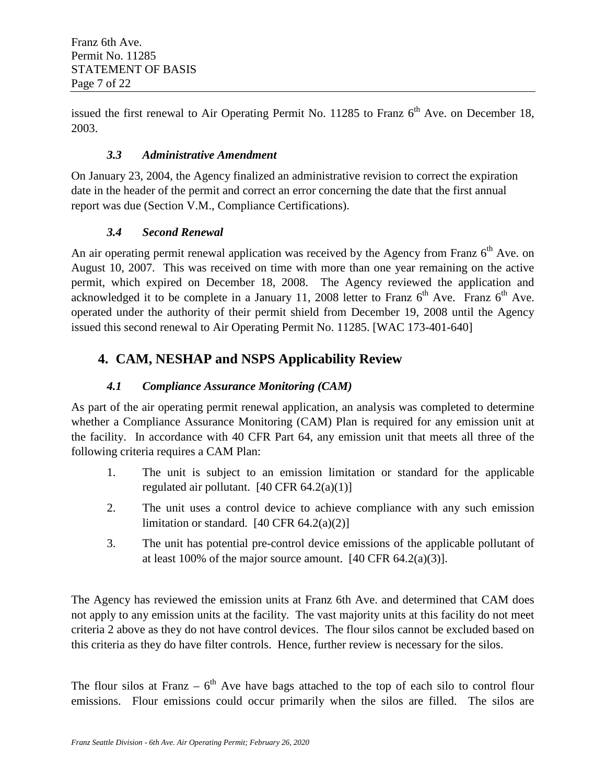issued the first renewal to Air Operating Permit No. 11285 to Franz  $6<sup>th</sup>$  Ave. on December 18, 2003.

#### *3.3 Administrative Amendment*

<span id="page-6-0"></span>On January 23, 2004, the Agency finalized an administrative revision to correct the expiration date in the header of the permit and correct an error concerning the date that the first annual report was due (Section V.M., Compliance Certifications).

#### *3.4 Second Renewal*

An air operating permit renewal application was received by the Agency from Franz  $6<sup>th</sup>$  Ave. on August 10, 2007. This was received on time with more than one year remaining on the active permit, which expired on December 18, 2008. The Agency reviewed the application and acknowledged it to be complete in a January 11, 2008 letter to Franz  $6<sup>th</sup>$  Ave. Franz  $6<sup>th</sup>$  Ave. operated under the authority of their permit shield from December 19, 2008 until the Agency issued this second renewal to Air Operating Permit No. 11285. [WAC 173-401-640]

## <span id="page-6-1"></span>**4. CAM, NESHAP and NSPS Applicability Review**

## *4.1 Compliance Assurance Monitoring (CAM)*

<span id="page-6-2"></span>As part of the air operating permit renewal application, an analysis was completed to determine whether a Compliance Assurance Monitoring (CAM) Plan is required for any emission unit at the facility. In accordance with 40 CFR Part 64, any emission unit that meets all three of the following criteria requires a CAM Plan:

- 1. The unit is subject to an emission limitation or standard for the applicable regulated air pollutant.  $[40 \text{ CFR } 64.2(a)(1)]$
- 2. The unit uses a control device to achieve compliance with any such emission limitation or standard.  $[40 \text{ CFR } 64.2(a)(2)]$
- 3. The unit has potential pre-control device emissions of the applicable pollutant of at least 100% of the major source amount.  $[40 \text{ CFR } 64.2(a)(3)]$ .

The Agency has reviewed the emission units at Franz 6th Ave. and determined that CAM does not apply to any emission units at the facility. The vast majority units at this facility do not meet criteria 2 above as they do not have control devices. The flour silos cannot be excluded based on this criteria as they do have filter controls. Hence, further review is necessary for the silos.

The flour silos at Franz –  $6<sup>th</sup>$  Ave have bags attached to the top of each silo to control flour emissions. Flour emissions could occur primarily when the silos are filled. The silos are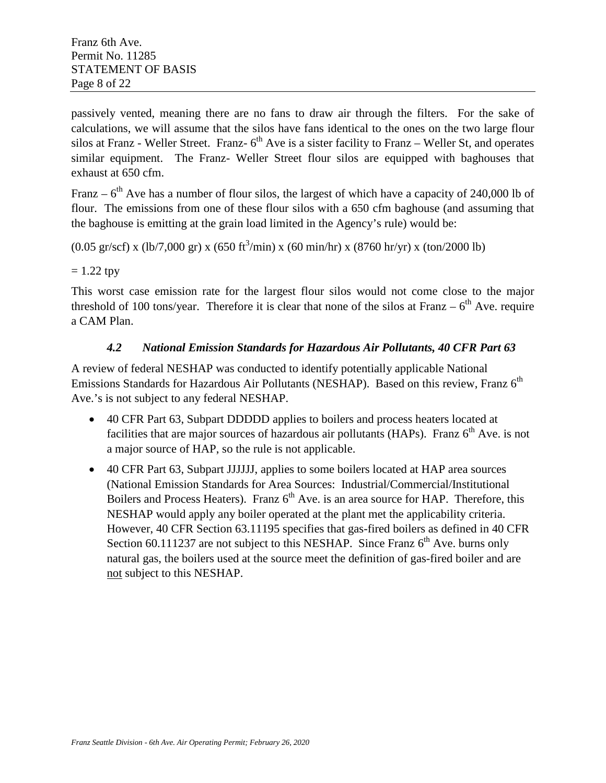passively vented, meaning there are no fans to draw air through the filters. For the sake of calculations, we will assume that the silos have fans identical to the ones on the two large flour silos at Franz - Weller Street. Franz- $6<sup>th</sup>$  Ave is a sister facility to Franz – Weller St, and operates similar equipment. The Franz- Weller Street flour silos are equipped with baghouses that exhaust at 650 cfm.

Franz –  $6<sup>th</sup>$  Ave has a number of flour silos, the largest of which have a capacity of 240,000 lb of flour. The emissions from one of these flour silos with a 650 cfm baghouse (and assuming that the baghouse is emitting at the grain load limited in the Agency's rule) would be:

 $(0.05 \text{ gr/sec}) \times (\text{lb}/7,000 \text{ gr}) \times (650 \text{ ft}^3/\text{min}) \times (60 \text{ min/hr}) \times (8760 \text{ hr/yr}) \times (\text{ton}/2000 \text{ lb})$ 

#### $= 1.22$  tpy

This worst case emission rate for the largest flour silos would not come close to the major threshold of 100 tons/year. Therefore it is clear that none of the silos at Franz –  $6<sup>th</sup>$  Ave. require a CAM Plan.

#### *4.2 National Emission Standards for Hazardous Air Pollutants, 40 CFR Part 63*

<span id="page-7-0"></span>A review of federal NESHAP was conducted to identify potentially applicable National Emissions Standards for Hazardous Air Pollutants (NESHAP). Based on this review, Franz  $6<sup>th</sup>$ Ave.'s is not subject to any federal NESHAP.

- 40 CFR Part 63, Subpart DDDDD applies to boilers and process heaters located at facilities that are major sources of hazardous air pollutants (HAPs). Franz  $6<sup>th</sup>$  Ave. is not a major source of HAP, so the rule is not applicable.
- <span id="page-7-1"></span>• 40 CFR Part 63, Subpart JJJJJJ, applies to some boilers located at HAP area sources (National Emission Standards for Area Sources: Industrial/Commercial/Institutional Boilers and Process Heaters). Franz  $6<sup>th</sup>$  Ave. is an area source for HAP. Therefore, this NESHAP would apply any boiler operated at the plant met the applicability criteria. However, 40 CFR Section 63.11195 specifies that gas-fired boilers as defined in 40 CFR Section 60.111237 are not subject to this NESHAP. Since Franz  $6<sup>th</sup>$  Ave. burns only natural gas, the boilers used at the source meet the definition of gas-fired boiler and are not subject to this NESHAP.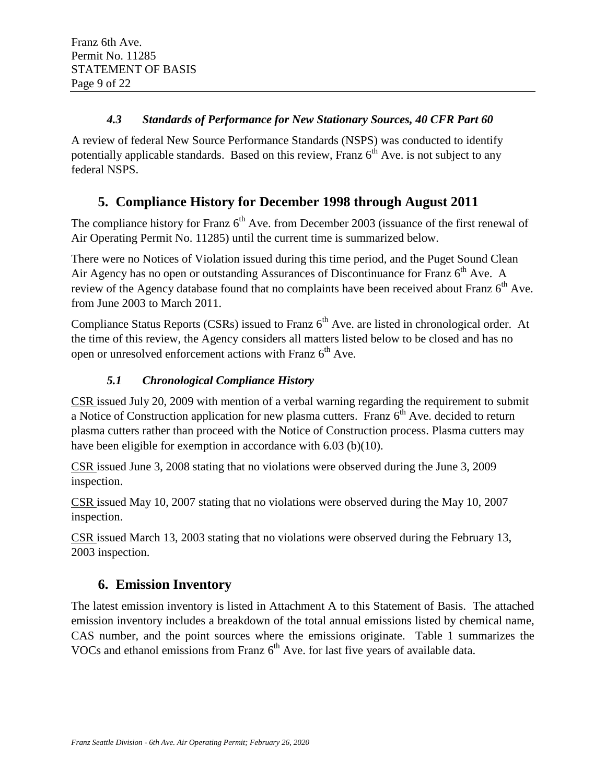### *4.3 Standards of Performance for New Stationary Sources, 40 CFR Part 60*

A review of federal New Source Performance Standards (NSPS) was conducted to identify potentially applicable standards. Based on this review, Franz  $6<sup>th</sup>$  Ave. is not subject to any federal NSPS.

## <span id="page-8-0"></span>**5. Compliance History for December 1998 through August 2011**

The compliance history for Franz  $6<sup>th</sup>$  Ave. from December 2003 (issuance of the first renewal of Air Operating Permit No. 11285) until the current time is summarized below.

There were no Notices of Violation issued during this time period, and the Puget Sound Clean Air Agency has no open or outstanding Assurances of Discontinuance for Franz  $6<sup>th</sup>$  Ave. A review of the Agency database found that no complaints have been received about Franz  $6<sup>th</sup>$  Ave. from June 2003 to March 2011.

Compliance Status Reports (CSRs) issued to Franz 6<sup>th</sup> Ave. are listed in chronological order. At the time of this review, the Agency considers all matters listed below to be closed and has no open or unresolved enforcement actions with Franz  $6<sup>th</sup>$  Ave.

## *5.1 Chronological Compliance History*

<span id="page-8-1"></span>CSR issued July 20, 2009 with mention of a verbal warning regarding the requirement to submit a Notice of Construction application for new plasma cutters. Franz  $6<sup>th</sup>$  Ave. decided to return plasma cutters rather than proceed with the Notice of Construction process. Plasma cutters may have been eligible for exemption in accordance with 6.03 (b)(10).

CSR issued June 3, 2008 stating that no violations were observed during the June 3, 2009 inspection.

CSR issued May 10, 2007 stating that no violations were observed during the May 10, 2007 inspection.

CSR issued March 13, 2003 stating that no violations were observed during the February 13, 2003 inspection.

## <span id="page-8-2"></span>**6. Emission Inventory**

The latest emission inventory is listed in Attachment A to this Statement of Basis. The attached emission inventory includes a breakdown of the total annual emissions listed by chemical name, CAS number, and the point sources where the emissions originate. Table 1 summarizes the VOCs and ethanol emissions from Franz  $6<sup>th</sup>$  Ave. for last five years of available data.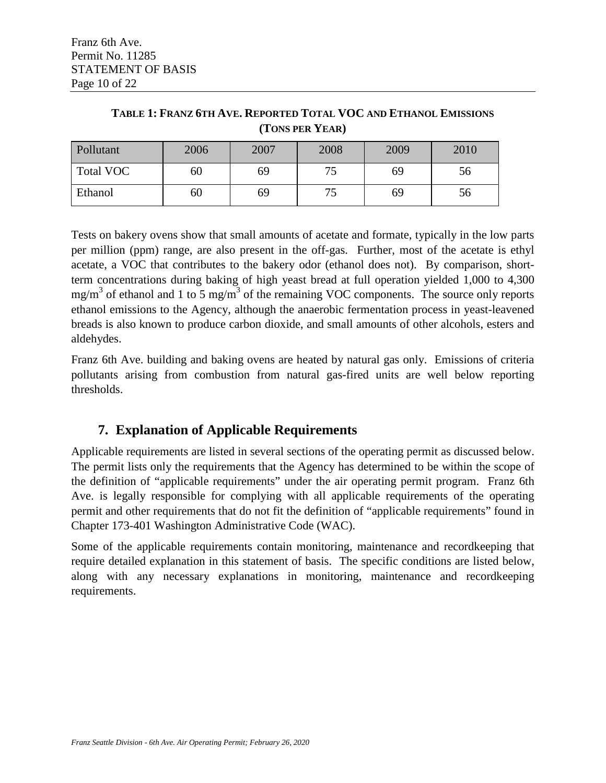| Pollutant | 2006 | 2007 | 2008 | 2009 | 2010 |
|-----------|------|------|------|------|------|
| Total VOC | 60   | 69   |      | 69   | СC   |
| Ethanol   | 60   | 69   | 75   | 69   | 56   |

**TABLE 1: FRANZ 6TH AVE. REPORTED TOTAL VOC AND ETHANOL EMISSIONS (TONS PER YEAR)**

Tests on bakery ovens show that small amounts of acetate and formate, typically in the low parts per million (ppm) range, are also present in the off-gas. Further, most of the acetate is ethyl acetate, a VOC that contributes to the bakery odor (ethanol does not). By comparison, shortterm concentrations during baking of high yeast bread at full operation yielded 1,000 to 4,300  $mg/m<sup>3</sup>$  of ethanol and 1 to 5 mg/m<sup>3</sup> of the remaining VOC components. The source only reports ethanol emissions to the Agency, although the anaerobic fermentation process in yeast-leavened breads is also known to produce carbon dioxide, and small amounts of other alcohols, esters and aldehydes.

Franz 6th Ave. building and baking ovens are heated by natural gas only. Emissions of criteria pollutants arising from combustion from natural gas-fired units are well below reporting thresholds.

## **7. Explanation of Applicable Requirements**

<span id="page-9-0"></span>Applicable requirements are listed in several sections of the operating permit as discussed below. The permit lists only the requirements that the Agency has determined to be within the scope of the definition of "applicable requirements" under the air operating permit program. Franz 6th Ave. is legally responsible for complying with all applicable requirements of the operating permit and other requirements that do not fit the definition of "applicable requirements" found in Chapter 173-401 Washington Administrative Code (WAC).

Some of the applicable requirements contain monitoring, maintenance and recordkeeping that require detailed explanation in this statement of basis. The specific conditions are listed below, along with any necessary explanations in monitoring, maintenance and recordkeeping requirements.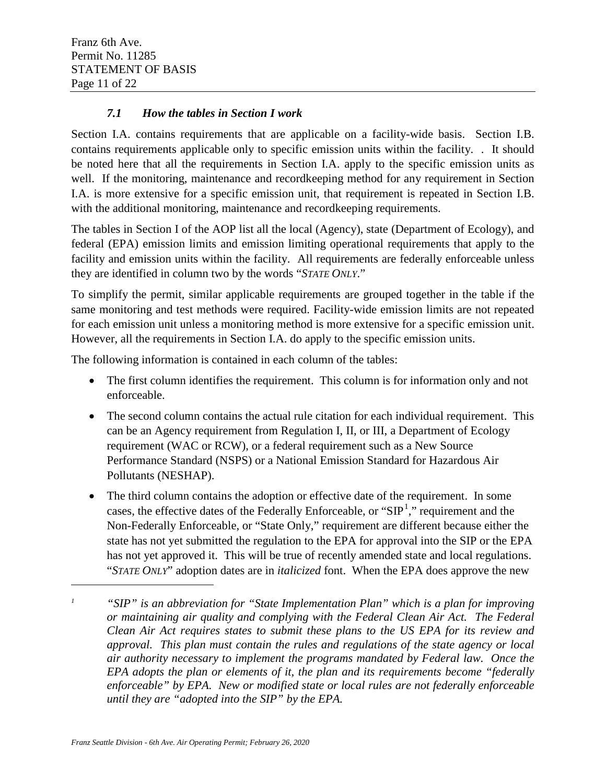#### *7.1 How the tables in Section I work*

<span id="page-10-0"></span>Section I.A. contains requirements that are applicable on a facility-wide basis. Section I.B. contains requirements applicable only to specific emission units within the facility. . It should be noted here that all the requirements in Section I.A. apply to the specific emission units as well. If the monitoring, maintenance and recordkeeping method for any requirement in Section I.A. is more extensive for a specific emission unit, that requirement is repeated in Section I.B. with the additional monitoring, maintenance and record keeping requirements.

The tables in Section I of the AOP list all the local (Agency), state (Department of Ecology), and federal (EPA) emission limits and emission limiting operational requirements that apply to the facility and emission units within the facility. All requirements are federally enforceable unless they are identified in column two by the words "*STATE ONLY*."

To simplify the permit, similar applicable requirements are grouped together in the table if the same monitoring and test methods were required. Facility-wide emission limits are not repeated for each emission unit unless a monitoring method is more extensive for a specific emission unit. However, all the requirements in Section I.A. do apply to the specific emission units.

The following information is contained in each column of the tables:

- The first column identifies the requirement. This column is for information only and not enforceable.
- The second column contains the actual rule citation for each individual requirement. This can be an Agency requirement from Regulation I, II, or III, a Department of Ecology requirement (WAC or RCW), or a federal requirement such as a New Source Performance Standard (NSPS) or a National Emission Standard for Hazardous Air Pollutants (NESHAP).
- The third column contains the adoption or effective date of the requirement. In some cases, the effective dates of the Federally Enforceable, or " $SIP<sup>1</sup>$  $SIP<sup>1</sup>$  $SIP<sup>1</sup>$ ," requirement and the Non-Federally Enforceable, or "State Only," requirement are different because either the state has not yet submitted the regulation to the EPA for approval into the SIP or the EPA has not yet approved it. This will be true of recently amended state and local regulations. "*STATE ONLY*" adoption dates are in *italicized* font. When the EPA does approve the new

 $\overline{a}$ 

<span id="page-10-1"></span>*<sup>1</sup> "SIP" is an abbreviation for "State Implementation Plan" which is a plan for improving or maintaining air quality and complying with the Federal Clean Air Act. The Federal Clean Air Act requires states to submit these plans to the US EPA for its review and approval. This plan must contain the rules and regulations of the state agency or local air authority necessary to implement the programs mandated by Federal law. Once the EPA adopts the plan or elements of it, the plan and its requirements become "federally enforceable" by EPA. New or modified state or local rules are not federally enforceable until they are "adopted into the SIP" by the EPA.*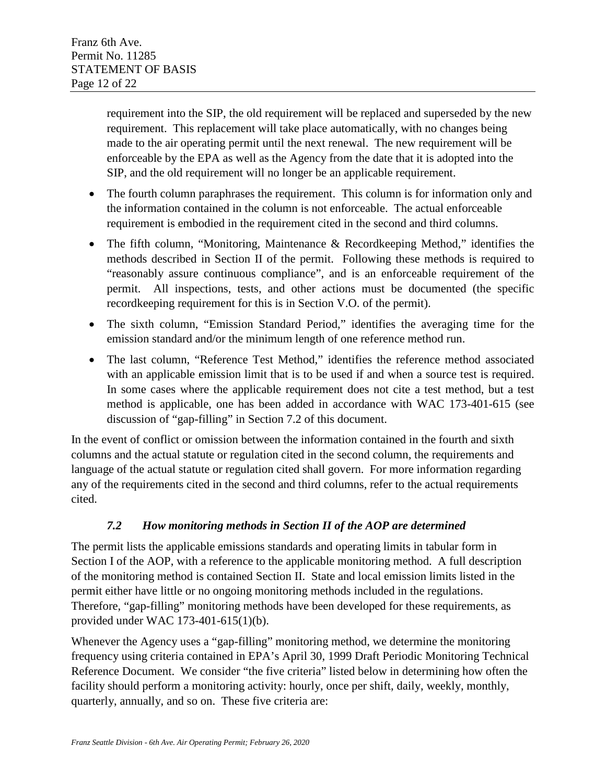requirement into the SIP, the old requirement will be replaced and superseded by the new requirement. This replacement will take place automatically, with no changes being made to the air operating permit until the next renewal. The new requirement will be enforceable by the EPA as well as the Agency from the date that it is adopted into the SIP, and the old requirement will no longer be an applicable requirement.

- The fourth column paraphrases the requirement. This column is for information only and the information contained in the column is not enforceable. The actual enforceable requirement is embodied in the requirement cited in the second and third columns.
- The fifth column, "Monitoring, Maintenance & Recordkeeping Method," identifies the methods described in Section II of the permit. Following these methods is required to "reasonably assure continuous compliance", and is an enforceable requirement of the permit. All inspections, tests, and other actions must be documented (the specific recordkeeping requirement for this is in Section V.O. of the permit).
- The sixth column, "Emission Standard Period," identifies the averaging time for the emission standard and/or the minimum length of one reference method run.
- The last column, "Reference Test Method," identifies the reference method associated with an applicable emission limit that is to be used if and when a source test is required. In some cases where the applicable requirement does not cite a test method, but a test method is applicable, one has been added in accordance with WAC 173-401-615 (see discussion of "gap-filling" in Section 7.2 of this document.

In the event of conflict or omission between the information contained in the fourth and sixth columns and the actual statute or regulation cited in the second column, the requirements and language of the actual statute or regulation cited shall govern. For more information regarding any of the requirements cited in the second and third columns, refer to the actual requirements cited.

### *7.2 How monitoring methods in Section II of the AOP are determined*

<span id="page-11-0"></span>The permit lists the applicable emissions standards and operating limits in tabular form in Section I of the AOP, with a reference to the applicable monitoring method. A full description of the monitoring method is contained Section II. State and local emission limits listed in the permit either have little or no ongoing monitoring methods included in the regulations. Therefore, "gap-filling" monitoring methods have been developed for these requirements, as provided under WAC 173-401-615(1)(b).

Whenever the Agency uses a "gap-filling" monitoring method, we determine the monitoring frequency using criteria contained in EPA's April 30, 1999 Draft Periodic Monitoring Technical Reference Document. We consider "the five criteria" listed below in determining how often the facility should perform a monitoring activity: hourly, once per shift, daily, weekly, monthly, quarterly, annually, and so on. These five criteria are: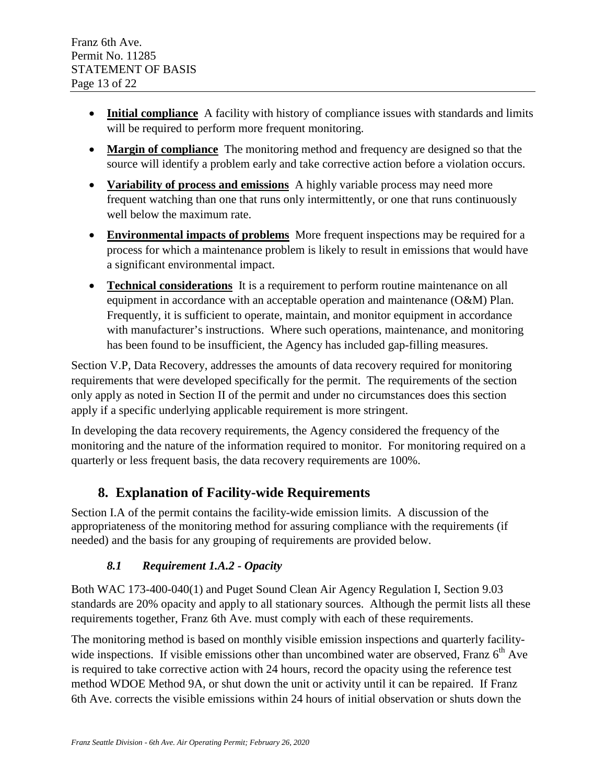- **Initial compliance** A facility with history of compliance issues with standards and limits will be required to perform more frequent monitoring.
- **Margin of compliance** The monitoring method and frequency are designed so that the source will identify a problem early and take corrective action before a violation occurs.
- **Variability of process and emissions** A highly variable process may need more frequent watching than one that runs only intermittently, or one that runs continuously well below the maximum rate.
- **Environmental impacts of problems** More frequent inspections may be required for a process for which a maintenance problem is likely to result in emissions that would have a significant environmental impact.
- **Technical considerations** It is a requirement to perform routine maintenance on all equipment in accordance with an acceptable operation and maintenance (O&M) Plan. Frequently, it is sufficient to operate, maintain, and monitor equipment in accordance with manufacturer's instructions. Where such operations, maintenance, and monitoring has been found to be insufficient, the Agency has included gap-filling measures.

Section V.P, Data Recovery, addresses the amounts of data recovery required for monitoring requirements that were developed specifically for the permit. The requirements of the section only apply as noted in Section II of the permit and under no circumstances does this section apply if a specific underlying applicable requirement is more stringent.

In developing the data recovery requirements, the Agency considered the frequency of the monitoring and the nature of the information required to monitor. For monitoring required on a quarterly or less frequent basis, the data recovery requirements are 100%.

## <span id="page-12-0"></span>**8. Explanation of Facility-wide Requirements**

Section I.A of the permit contains the facility-wide emission limits. A discussion of the appropriateness of the monitoring method for assuring compliance with the requirements (if needed) and the basis for any grouping of requirements are provided below.

## *8.1 Requirement 1.A.2 - Opacity*

<span id="page-12-1"></span>Both WAC 173-400-040(1) and Puget Sound Clean Air Agency Regulation I, Section 9.03 standards are 20% opacity and apply to all stationary sources. Although the permit lists all these requirements together, Franz 6th Ave. must comply with each of these requirements.

The monitoring method is based on monthly visible emission inspections and quarterly facilitywide inspections. If visible emissions other than uncombined water are observed, Franz  $6<sup>th</sup>$  Ave is required to take corrective action with 24 hours, record the opacity using the reference test method WDOE Method 9A, or shut down the unit or activity until it can be repaired. If Franz 6th Ave. corrects the visible emissions within 24 hours of initial observation or shuts down the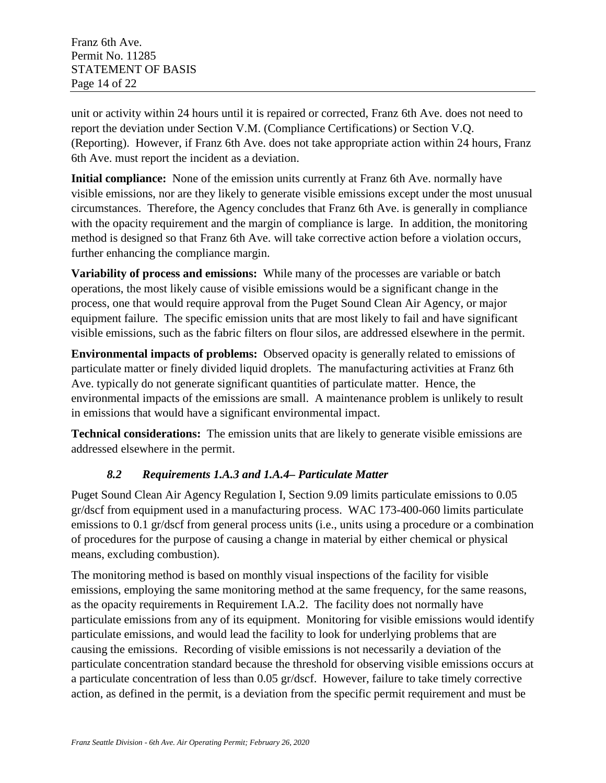unit or activity within 24 hours until it is repaired or corrected, Franz 6th Ave. does not need to report the deviation under Section V.M. (Compliance Certifications) or Section V.Q. (Reporting). However, if Franz 6th Ave. does not take appropriate action within 24 hours, Franz 6th Ave. must report the incident as a deviation.

**Initial compliance:** None of the emission units currently at Franz 6th Ave. normally have visible emissions, nor are they likely to generate visible emissions except under the most unusual circumstances. Therefore, the Agency concludes that Franz 6th Ave. is generally in compliance with the opacity requirement and the margin of compliance is large. In addition, the monitoring method is designed so that Franz 6th Ave. will take corrective action before a violation occurs, further enhancing the compliance margin.

**Variability of process and emissions:** While many of the processes are variable or batch operations, the most likely cause of visible emissions would be a significant change in the process, one that would require approval from the Puget Sound Clean Air Agency, or major equipment failure. The specific emission units that are most likely to fail and have significant visible emissions, such as the fabric filters on flour silos, are addressed elsewhere in the permit.

**Environmental impacts of problems:** Observed opacity is generally related to emissions of particulate matter or finely divided liquid droplets. The manufacturing activities at Franz 6th Ave. typically do not generate significant quantities of particulate matter. Hence, the environmental impacts of the emissions are small. A maintenance problem is unlikely to result in emissions that would have a significant environmental impact.

**Technical considerations:** The emission units that are likely to generate visible emissions are addressed elsewhere in the permit.

### *8.2 Requirements 1.A.3 and 1.A.4– Particulate Matter*

<span id="page-13-0"></span>Puget Sound Clean Air Agency Regulation I, Section 9.09 limits particulate emissions to 0.05 gr/dscf from equipment used in a manufacturing process. WAC 173-400-060 limits particulate emissions to 0.1 gr/dscf from general process units (i.e., units using a procedure or a combination of procedures for the purpose of causing a change in material by either chemical or physical means, excluding combustion).

The monitoring method is based on monthly visual inspections of the facility for visible emissions, employing the same monitoring method at the same frequency, for the same reasons, as the opacity requirements in Requirement I.A.2. The facility does not normally have particulate emissions from any of its equipment. Monitoring for visible emissions would identify particulate emissions, and would lead the facility to look for underlying problems that are causing the emissions. Recording of visible emissions is not necessarily a deviation of the particulate concentration standard because the threshold for observing visible emissions occurs at a particulate concentration of less than 0.05 gr/dscf. However, failure to take timely corrective action, as defined in the permit, is a deviation from the specific permit requirement and must be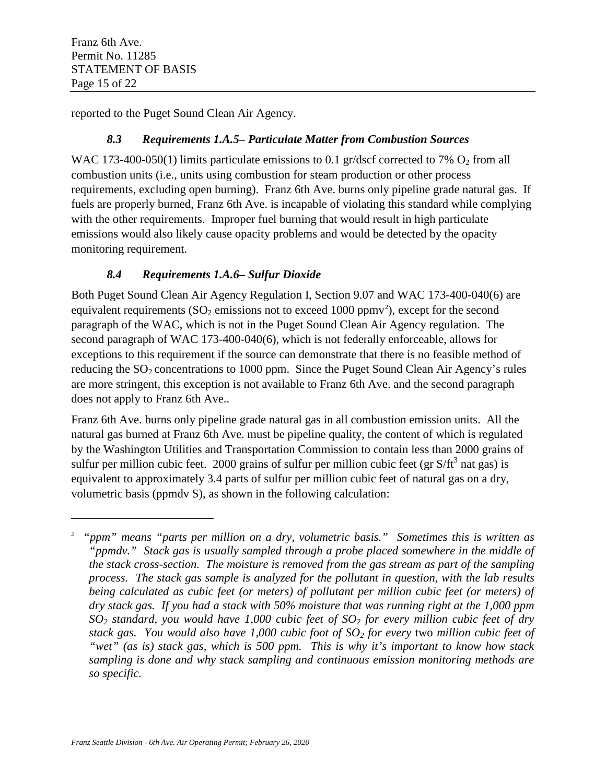$\overline{a}$ 

<span id="page-14-0"></span>reported to the Puget Sound Clean Air Agency.

### *8.3 Requirements 1.A.5– Particulate Matter from Combustion Sources*

WAC 173-400-050(1) limits particulate emissions to 0.1 gr/dscf corrected to 7%  $O_2$  from all combustion units (i.e., units using combustion for steam production or other process requirements, excluding open burning). Franz 6th Ave. burns only pipeline grade natural gas. If fuels are properly burned, Franz 6th Ave. is incapable of violating this standard while complying with the other requirements. Improper fuel burning that would result in high particulate emissions would also likely cause opacity problems and would be detected by the opacity monitoring requirement.

## *8.4 Requirements 1.A.6– Sulfur Dioxide*

<span id="page-14-1"></span>Both Puget Sound Clean Air Agency Regulation I, Section 9.07 and WAC 173-400-040(6) are equivalent requirements ( $SO_2$  $SO_2$  emissions not to exceed 1000 ppmv<sup>2</sup>), except for the second paragraph of the WAC, which is not in the Puget Sound Clean Air Agency regulation. The second paragraph of WAC 173-400-040(6), which is not federally enforceable, allows for exceptions to this requirement if the source can demonstrate that there is no feasible method of reducing the  $SO_2$  concentrations to 1000 ppm. Since the Puget Sound Clean Air Agency's rules are more stringent, this exception is not available to Franz 6th Ave. and the second paragraph does not apply to Franz 6th Ave..

Franz 6th Ave. burns only pipeline grade natural gas in all combustion emission units. All the natural gas burned at Franz 6th Ave. must be pipeline quality, the content of which is regulated by the Washington Utilities and Transportation Commission to contain less than 2000 grains of sulfur per million cubic feet. 2000 grains of sulfur per million cubic feet (gr  $S/ft^3$  nat gas) is equivalent to approximately 3.4 parts of sulfur per million cubic feet of natural gas on a dry, volumetric basis (ppmdv S), as shown in the following calculation:

<span id="page-14-2"></span><sup>&</sup>lt;sup>2</sup> "ppm" means "parts per million on a dry, volumetric basis." Sometimes this is written as *"ppmdv." Stack gas is usually sampled through a probe placed somewhere in the middle of the stack cross-section. The moisture is removed from the gas stream as part of the sampling process. The stack gas sample is analyzed for the pollutant in question, with the lab results being calculated as cubic feet (or meters) of pollutant per million cubic feet (or meters) of dry stack gas. If you had a stack with 50% moisture that was running right at the 1,000 ppm SO2 standard, you would have 1,000 cubic feet of SO2 for every million cubic feet of dry stack gas. You would also have 1,000 cubic foot of SO2 for every* two *million cubic feet of "wet" (as is) stack gas, which is 500 ppm. This is why it's important to know how stack sampling is done and why stack sampling and continuous emission monitoring methods are so specific.*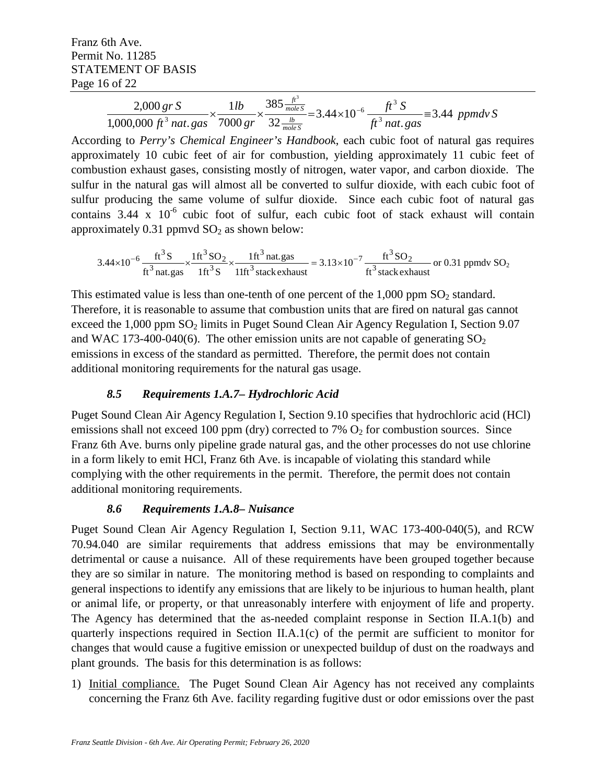Franz 6th Ave. Permit No. 11285 STATEMENT OF BASIS Page 16 of 22

$$
\frac{2,000 \text{ gr S}}{1,000,000 \text{ ft}^3 \text{ nat. gas}} \times \frac{1 \text{ lb}}{7000 \text{ gr}} \times \frac{385 \frac{\text{ft}^3}{\text{mole S}}}{32 \frac{\text{lb}}{\text{mole S}}} = 3.44 \times 10^{-6} \frac{\text{ft}^3 \text{ S}}{\text{ft}^3 \text{ nat. gas}} = 3.44 \text{ ppmdv S}
$$

According to *Perry's Chemical Engineer's Handbook*, each cubic foot of natural gas requires approximately 10 cubic feet of air for combustion, yielding approximately 11 cubic feet of combustion exhaust gases, consisting mostly of nitrogen, water vapor, and carbon dioxide. The sulfur in the natural gas will almost all be converted to sulfur dioxide, with each cubic foot of sulfur producing the same volume of sulfur dioxide. Since each cubic foot of natural gas contains  $3.44 \times 10^{-6}$  cubic foot of sulfur, each cubic foot of stack exhaust will contain approximately  $0.31$  ppmvd  $SO<sub>2</sub>$  as shown below:

ft<sup>3</sup> stack exhaust  $3.13\times10^{-7} - \frac{ft^3}{2}$  SO  $11 \text{ft}^3$  stack exhaust  $1 \text{ft}^3$  nat.gas  $1 \text{ft}^3$  S  $1 \text{ft}^3$  SO  $3.44\times10^{-6}$   $\frac{\text{ft}^3\text{S}}{\text{ft}^3\text{ nat.gas}} \times \frac{1\text{ft}^3\text{SO}_2}{1\text{ft}^3\text{S}} \times \frac{1\text{ft}^3\text{nat.gas}}{1\text{ft}^3\text{ stack} \text{exhaust}} = 3.13\times10^{-7} \frac{\text{ft}^3\text{SO}_2}{\text{ft}^3\text{stack} \text{exick}}$ 3 3 3  $3$  SO<sub>2</sub>  $\times 10^{-6}$   $\frac{\text{ft}^3\text{S}}{\text{ft}^3\text{net} \text{csc}} \times \frac{1\text{ft}^3\text{SO}_2}{1\text{ft}^3\text{S}} \times \frac{1\text{ft}^3\text{nat}.\text{gas}}{1\text{ft}^3\text{stock} \text{coker}^{\text{heat}}} = 3.13 \times 10^{-7} \frac{\text{ft}^3\text{SO}_2}{\text{ft}^3\text{stock} \text{exheat}}$  or 0.31 ppmdv SO<sub>2</sub>

This estimated value is less than one-tenth of one percent of the  $1,000$  ppm  $SO<sub>2</sub>$  standard. Therefore, it is reasonable to assume that combustion units that are fired on natural gas cannot exceed the  $1,000$  ppm  $SO<sub>2</sub>$  limits in Puget Sound Clean Air Agency Regulation I, Section 9.07 and WAC 173-400-040(6). The other emission units are not capable of generating  $SO<sub>2</sub>$ emissions in excess of the standard as permitted. Therefore, the permit does not contain additional monitoring requirements for the natural gas usage.

#### *8.5 Requirements 1.A.7– Hydrochloric Acid*

<span id="page-15-0"></span>Puget Sound Clean Air Agency Regulation I, Section 9.10 specifies that hydrochloric acid (HCl) emissions shall not exceed 100 ppm (dry) corrected to 7%  $O_2$  for combustion sources. Since Franz 6th Ave. burns only pipeline grade natural gas, and the other processes do not use chlorine in a form likely to emit HCl, Franz 6th Ave. is incapable of violating this standard while complying with the other requirements in the permit. Therefore, the permit does not contain additional monitoring requirements.

### *8.6 Requirements 1.A.8– Nuisance*

<span id="page-15-1"></span>Puget Sound Clean Air Agency Regulation I, Section 9.11, WAC 173-400-040(5), and RCW 70.94.040 are similar requirements that address emissions that may be environmentally detrimental or cause a nuisance. All of these requirements have been grouped together because they are so similar in nature. The monitoring method is based on responding to complaints and general inspections to identify any emissions that are likely to be injurious to human health, plant or animal life, or property, or that unreasonably interfere with enjoyment of life and property. The Agency has determined that the as-needed complaint response in Section II.A.1(b) and quarterly inspections required in Section II.A.1(c) of the permit are sufficient to monitor for changes that would cause a fugitive emission or unexpected buildup of dust on the roadways and plant grounds. The basis for this determination is as follows:

1) Initial compliance. The Puget Sound Clean Air Agency has not received any complaints concerning the Franz 6th Ave. facility regarding fugitive dust or odor emissions over the past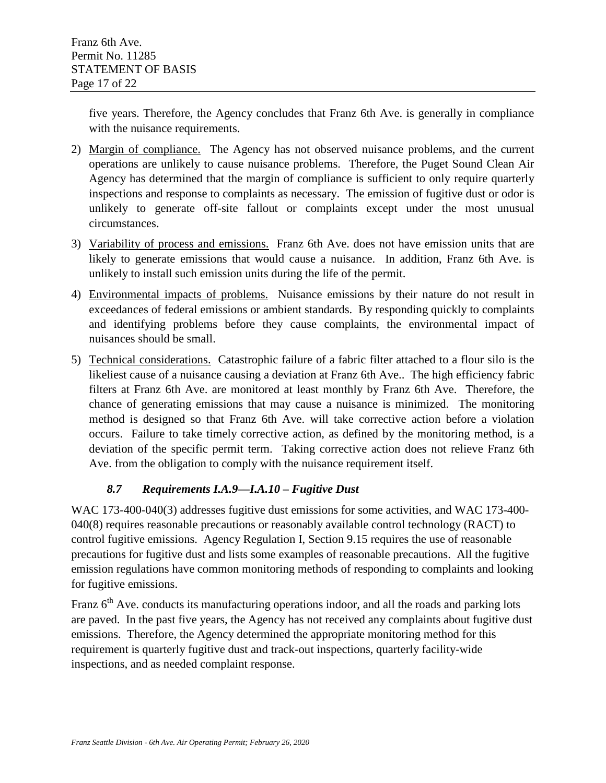five years. Therefore, the Agency concludes that Franz 6th Ave. is generally in compliance with the nuisance requirements.

- 2) Margin of compliance. The Agency has not observed nuisance problems, and the current operations are unlikely to cause nuisance problems. Therefore, the Puget Sound Clean Air Agency has determined that the margin of compliance is sufficient to only require quarterly inspections and response to complaints as necessary. The emission of fugitive dust or odor is unlikely to generate off-site fallout or complaints except under the most unusual circumstances.
- 3) Variability of process and emissions. Franz 6th Ave. does not have emission units that are likely to generate emissions that would cause a nuisance. In addition, Franz 6th Ave. is unlikely to install such emission units during the life of the permit.
- 4) Environmental impacts of problems. Nuisance emissions by their nature do not result in exceedances of federal emissions or ambient standards. By responding quickly to complaints and identifying problems before they cause complaints, the environmental impact of nuisances should be small.
- 5) Technical considerations. Catastrophic failure of a fabric filter attached to a flour silo is the likeliest cause of a nuisance causing a deviation at Franz 6th Ave.. The high efficiency fabric filters at Franz 6th Ave. are monitored at least monthly by Franz 6th Ave. Therefore, the chance of generating emissions that may cause a nuisance is minimized. The monitoring method is designed so that Franz 6th Ave. will take corrective action before a violation occurs. Failure to take timely corrective action, as defined by the monitoring method, is a deviation of the specific permit term. Taking corrective action does not relieve Franz 6th Ave. from the obligation to comply with the nuisance requirement itself.

### *8.7 Requirements I.A.9—I.A.10 – Fugitive Dust*

<span id="page-16-0"></span>WAC 173-400-040(3) addresses fugitive dust emissions for some activities, and WAC 173-400- 040(8) requires reasonable precautions or reasonably available control technology (RACT) to control fugitive emissions. Agency Regulation I, Section 9.15 requires the use of reasonable precautions for fugitive dust and lists some examples of reasonable precautions. All the fugitive emission regulations have common monitoring methods of responding to complaints and looking for fugitive emissions.

Franz  $6<sup>th</sup>$  Ave. conducts its manufacturing operations indoor, and all the roads and parking lots are paved. In the past five years, the Agency has not received any complaints about fugitive dust emissions. Therefore, the Agency determined the appropriate monitoring method for this requirement is quarterly fugitive dust and track-out inspections, quarterly facility-wide inspections, and as needed complaint response.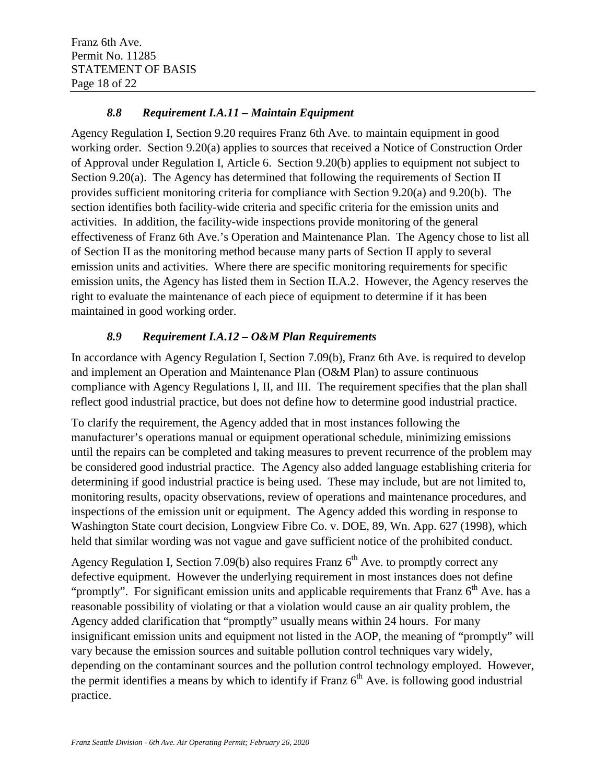#### *8.8 Requirement I.A.11 – Maintain Equipment*

<span id="page-17-0"></span>Agency Regulation I, Section 9.20 requires Franz 6th Ave. to maintain equipment in good working order. Section 9.20(a) applies to sources that received a Notice of Construction Order of Approval under Regulation I, Article 6. Section 9.20(b) applies to equipment not subject to Section 9.20(a). The Agency has determined that following the requirements of Section II provides sufficient monitoring criteria for compliance with Section 9.20(a) and 9.20(b). The section identifies both facility-wide criteria and specific criteria for the emission units and activities. In addition, the facility-wide inspections provide monitoring of the general effectiveness of Franz 6th Ave.'s Operation and Maintenance Plan. The Agency chose to list all of Section II as the monitoring method because many parts of Section II apply to several emission units and activities. Where there are specific monitoring requirements for specific emission units, the Agency has listed them in Section II.A.2. However, the Agency reserves the right to evaluate the maintenance of each piece of equipment to determine if it has been maintained in good working order.

### *8.9 Requirement I.A.12 – O&M Plan Requirements*

<span id="page-17-1"></span>In accordance with Agency Regulation I, Section 7.09(b), Franz 6th Ave. is required to develop and implement an Operation and Maintenance Plan (O&M Plan) to assure continuous compliance with Agency Regulations I, II, and III. The requirement specifies that the plan shall reflect good industrial practice, but does not define how to determine good industrial practice.

To clarify the requirement, the Agency added that in most instances following the manufacturer's operations manual or equipment operational schedule, minimizing emissions until the repairs can be completed and taking measures to prevent recurrence of the problem may be considered good industrial practice. The Agency also added language establishing criteria for determining if good industrial practice is being used. These may include, but are not limited to, monitoring results, opacity observations, review of operations and maintenance procedures, and inspections of the emission unit or equipment. The Agency added this wording in response to Washington State court decision, Longview Fibre Co. v. DOE, 89, Wn. App. 627 (1998), which held that similar wording was not vague and gave sufficient notice of the prohibited conduct.

Agency Regulation I, Section 7.09(b) also requires Franz  $6<sup>th</sup>$  Ave. to promptly correct any defective equipment. However the underlying requirement in most instances does not define "promptly". For significant emission units and applicable requirements that Franz  $6<sup>th</sup>$  Ave. has a reasonable possibility of violating or that a violation would cause an air quality problem, the Agency added clarification that "promptly" usually means within 24 hours. For many insignificant emission units and equipment not listed in the AOP, the meaning of "promptly" will vary because the emission sources and suitable pollution control techniques vary widely, depending on the contaminant sources and the pollution control technology employed. However, the permit identifies a means by which to identify if Franz  $6<sup>th</sup>$  Ave. is following good industrial practice.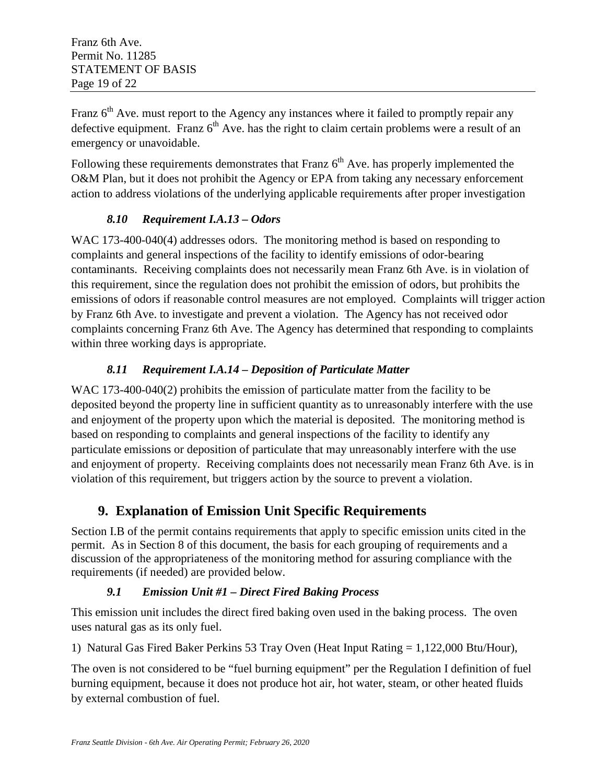Franz  $6<sup>th</sup>$  Ave. must report to the Agency any instances where it failed to promptly repair any defective equipment. Franz  $6<sup>th</sup>$  Ave. has the right to claim certain problems were a result of an emergency or unavoidable.

Following these requirements demonstrates that Franz  $6<sup>th</sup>$  Ave. has properly implemented the O&M Plan, but it does not prohibit the Agency or EPA from taking any necessary enforcement action to address violations of the underlying applicable requirements after proper investigation

### *8.10 Requirement I.A.13 – Odors*

<span id="page-18-0"></span>WAC 173-400-040(4) addresses odors. The monitoring method is based on responding to complaints and general inspections of the facility to identify emissions of odor-bearing contaminants. Receiving complaints does not necessarily mean Franz 6th Ave. is in violation of this requirement, since the regulation does not prohibit the emission of odors, but prohibits the emissions of odors if reasonable control measures are not employed. Complaints will trigger action by Franz 6th Ave. to investigate and prevent a violation. The Agency has not received odor complaints concerning Franz 6th Ave. The Agency has determined that responding to complaints within three working days is appropriate.

## *8.11 Requirement I.A.14 – Deposition of Particulate Matter*

<span id="page-18-1"></span>WAC 173-400-040(2) prohibits the emission of particulate matter from the facility to be deposited beyond the property line in sufficient quantity as to unreasonably interfere with the use and enjoyment of the property upon which the material is deposited. The monitoring method is based on responding to complaints and general inspections of the facility to identify any particulate emissions or deposition of particulate that may unreasonably interfere with the use and enjoyment of property. Receiving complaints does not necessarily mean Franz 6th Ave. is in violation of this requirement, but triggers action by the source to prevent a violation.

## <span id="page-18-2"></span>**9. Explanation of Emission Unit Specific Requirements**

Section I.B of the permit contains requirements that apply to specific emission units cited in the permit. As in Section 8 of this document, the basis for each grouping of requirements and a discussion of the appropriateness of the monitoring method for assuring compliance with the requirements (if needed) are provided below.

### *9.1 Emission Unit #1 – Direct Fired Baking Process*

<span id="page-18-3"></span>This emission unit includes the direct fired baking oven used in the baking process. The oven uses natural gas as its only fuel.

1) Natural Gas Fired Baker Perkins 53 Tray Oven (Heat Input Rating = 1,122,000 Btu/Hour),

The oven is not considered to be "fuel burning equipment" per the Regulation I definition of fuel burning equipment, because it does not produce hot air, hot water, steam, or other heated fluids by external combustion of fuel.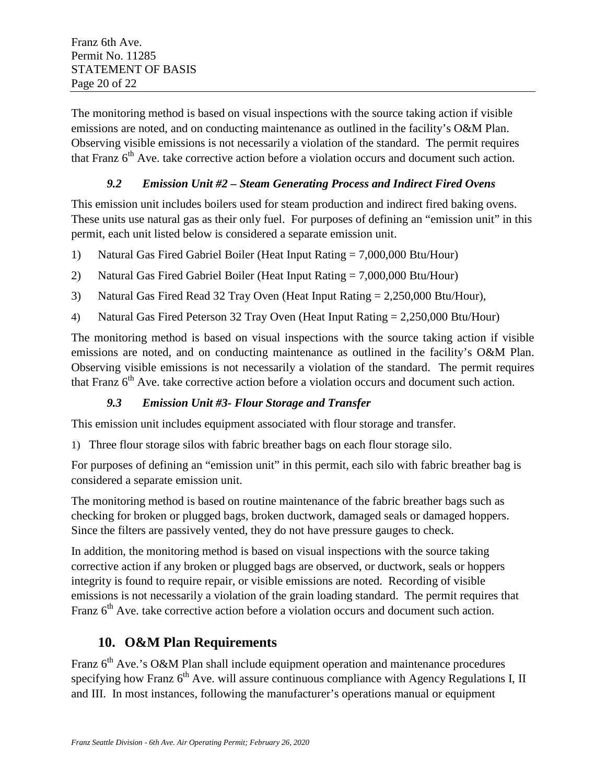The monitoring method is based on visual inspections with the source taking action if visible emissions are noted, and on conducting maintenance as outlined in the facility's O&M Plan. Observing visible emissions is not necessarily a violation of the standard. The permit requires that Franz  $6<sup>th</sup>$  Ave. take corrective action before a violation occurs and document such action.

#### *9.2 Emission Unit #2 – Steam Generating Process and Indirect Fired Ovens*

<span id="page-19-0"></span>This emission unit includes boilers used for steam production and indirect fired baking ovens. These units use natural gas as their only fuel. For purposes of defining an "emission unit" in this permit, each unit listed below is considered a separate emission unit.

- 1) Natural Gas Fired Gabriel Boiler (Heat Input Rating = 7,000,000 Btu/Hour)
- 2) Natural Gas Fired Gabriel Boiler (Heat Input Rating = 7,000,000 Btu/Hour)
- 3) Natural Gas Fired Read 32 Tray Oven (Heat Input Rating = 2,250,000 Btu/Hour),
- 4) Natural Gas Fired Peterson 32 Tray Oven (Heat Input Rating = 2,250,000 Btu/Hour)

The monitoring method is based on visual inspections with the source taking action if visible emissions are noted, and on conducting maintenance as outlined in the facility's O&M Plan. Observing visible emissions is not necessarily a violation of the standard. The permit requires that Franz  $6<sup>th</sup>$  Ave. take corrective action before a violation occurs and document such action.

#### *9.3 Emission Unit #3- Flour Storage and Transfer*

This emission unit includes equipment associated with flour storage and transfer.

1) Three flour storage silos with fabric breather bags on each flour storage silo.

For purposes of defining an "emission unit" in this permit, each silo with fabric breather bag is considered a separate emission unit.

The monitoring method is based on routine maintenance of the fabric breather bags such as checking for broken or plugged bags, broken ductwork, damaged seals or damaged hoppers. Since the filters are passively vented, they do not have pressure gauges to check.

In addition, the monitoring method is based on visual inspections with the source taking corrective action if any broken or plugged bags are observed, or ductwork, seals or hoppers integrity is found to require repair, or visible emissions are noted. Recording of visible emissions is not necessarily a violation of the grain loading standard. The permit requires that Franz  $6<sup>th</sup>$  Ave. take corrective action before a violation occurs and document such action.

## <span id="page-19-1"></span>**10. O&M Plan Requirements**

Franz  $6<sup>th</sup>$  Ave.'s O&M Plan shall include equipment operation and maintenance procedures specifying how Franz  $6<sup>th</sup>$  Ave. will assure continuous compliance with Agency Regulations I, II and III. In most instances, following the manufacturer's operations manual or equipment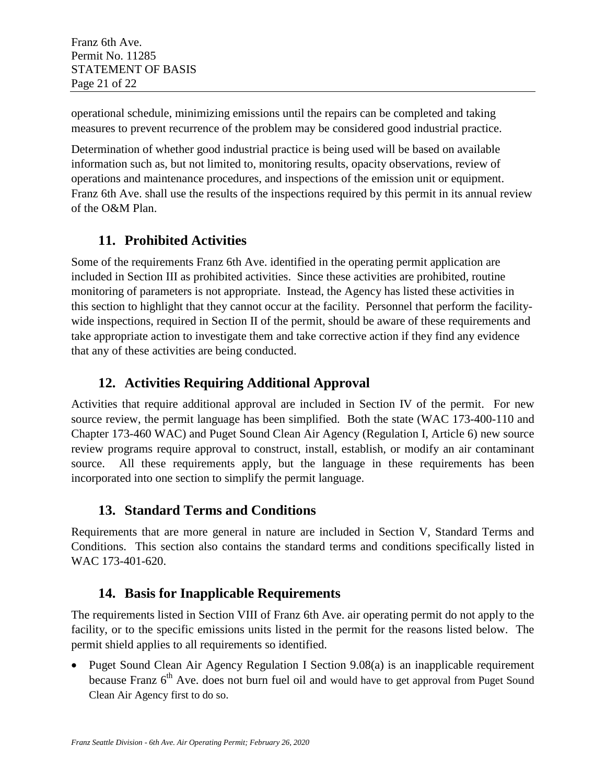operational schedule, minimizing emissions until the repairs can be completed and taking measures to prevent recurrence of the problem may be considered good industrial practice.

Determination of whether good industrial practice is being used will be based on available information such as, but not limited to, monitoring results, opacity observations, review of operations and maintenance procedures, and inspections of the emission unit or equipment. Franz 6th Ave. shall use the results of the inspections required by this permit in its annual review of the O&M Plan.

## <span id="page-20-0"></span>**11. Prohibited Activities**

Some of the requirements Franz 6th Ave. identified in the operating permit application are included in Section III as prohibited activities. Since these activities are prohibited, routine monitoring of parameters is not appropriate. Instead, the Agency has listed these activities in this section to highlight that they cannot occur at the facility. Personnel that perform the facilitywide inspections, required in Section II of the permit, should be aware of these requirements and take appropriate action to investigate them and take corrective action if they find any evidence that any of these activities are being conducted.

## <span id="page-20-1"></span>**12. Activities Requiring Additional Approval**

Activities that require additional approval are included in Section IV of the permit. For new source review, the permit language has been simplified. Both the state (WAC 173-400-110 and Chapter 173-460 WAC) and Puget Sound Clean Air Agency (Regulation I, Article 6) new source review programs require approval to construct, install, establish, or modify an air contaminant source. All these requirements apply, but the language in these requirements has been incorporated into one section to simplify the permit language.

## <span id="page-20-2"></span>**13. Standard Terms and Conditions**

Requirements that are more general in nature are included in Section V, Standard Terms and Conditions. This section also contains the standard terms and conditions specifically listed in WAC 173-401-620.

## <span id="page-20-3"></span>**14. Basis for Inapplicable Requirements**

The requirements listed in Section VIII of Franz 6th Ave. air operating permit do not apply to the facility, or to the specific emissions units listed in the permit for the reasons listed below. The permit shield applies to all requirements so identified.

• Puget Sound Clean Air Agency Regulation I Section 9.08(a) is an inapplicable requirement because Franz  $6<sup>th</sup>$  Ave. does not burn fuel oil and would have to get approval from Puget Sound Clean Air Agency first to do so.